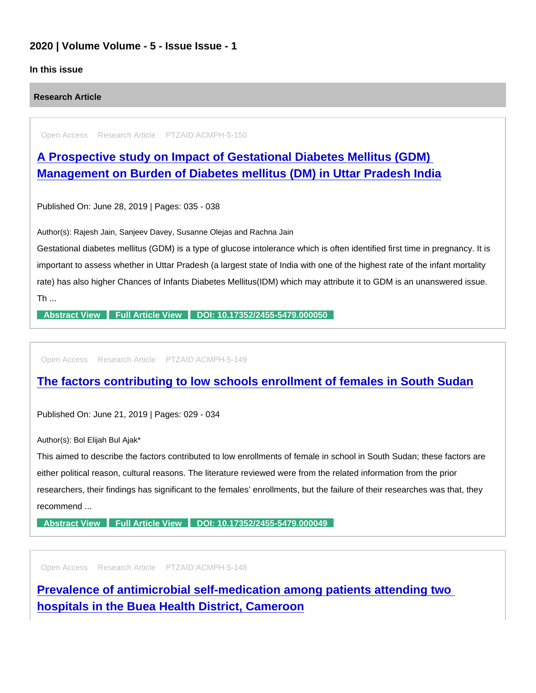## 2020 | Volume Volume - 5 - Issue Issue - 1

### In this issue

Research Article

Open Access Research Article PTZAID:ACMPH-5-150

[A Prospective study on Impact of Gestational Diabetes Mellitus \(GDM\)](https://www.peertechzpublications.com/articles/a-prospective-study-on-impact-of-gestational-diabetes-mellitus-gdm-management-on-burden-of-diabetes-mellitus-dm-in-uttar-pradesh-india)  Management on Burden of Diabetes mellitus (DM) in Uttar Pradesh India

Published On: June 28, 2019 | Pages: 035 - 038

Author(s): Rajesh Jain, Sanjeev Davey, Susanne Olejas and Rachna Jain

Gestational diabetes mellitus (GDM) is a type of glucose intolerance which is often identified first time in pregnancy. It is important to assess whether in Uttar Pradesh (a largest state of India with one of the highest rate of the infant mortality rate) has also higher Chances of Infants Diabetes Mellitus(IDM) which may attribute it to GDM is an unanswered issue. Th ...

[Abstract View](https://www.peertechzpublications.com/abstracts/a-prospective-study-on-impact-of-gestational-diabetes-mellitus-gdm-management-on-burden-of-diabetes-mellitus-dm-in-uttar-pradesh-india) [Full Article View](https://www.peertechzpublications.com/articles/a-prospective-study-on-impact-of-gestational-diabetes-mellitus-gdm-management-on-burden-of-diabetes-mellitus-dm-in-uttar-pradesh-india) [DOI: 10.17352/2455-5479.000050](http://dx.doi.org/10.17352/2455-5479.000050)

Open Access Research Article PTZAID:ACMPH-5-149

[The factors contributing to low schools enrollment of females in South Sudan](https://www.peertechzpublications.com/articles/the-factors-contributing-to-low-schools-enrollment-of-females-in-south-sudan)

Published On: June 21, 2019 | Pages: 029 - 034

Author(s): Bol Elijah Bul Ajak\*

This aimed to describe the factors contributed to low enrollments of female in school in South Sudan; these factors are either political reason, cultural reasons. The literature reviewed were from the related information from the prior researchers, their findings has significant to the females' enrollments, but the failure of their researches was that, they recommend ...

[Abstract View](https://www.peertechzpublications.com/abstracts/the-factors-contributing-to-low-schools-enrollment-of-females-in-south-sudan) [Full Article View](https://www.peertechzpublications.com/articles/the-factors-contributing-to-low-schools-enrollment-of-females-in-south-sudan) [DOI: 10.17352/2455-5479.000049](http://dx.doi.org/10.17352/2455-5479.000049)

Open Access Research Article PTZAID:ACMPH-5-148

[Prevalence of antimicrobial self-medication among patients attending two](https://www.peertechzpublications.com/articles/prevalence-of-antimicrobial-self-medication-among-patients-attending-two-hospitals-in-the-buea-health-district-cameroon)  hospitals in the Buea Health District, Cameroon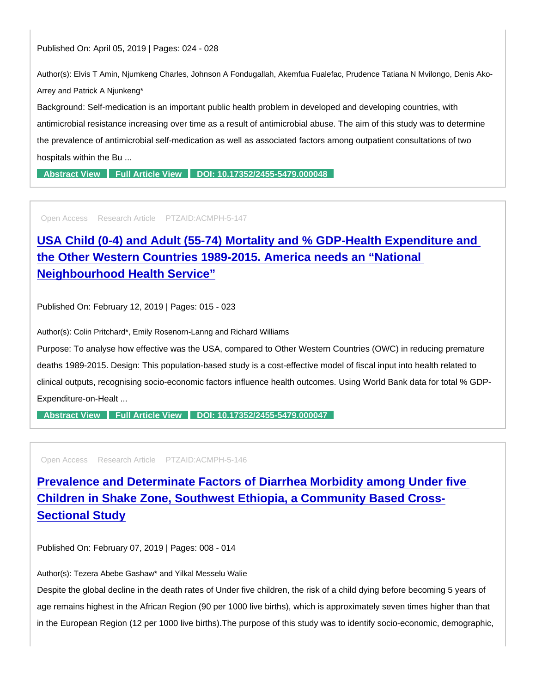Author(s): Elvis T Amin, Njumkeng Charles, Johnson A Fondugallah, Akemfua Fualefac, Prudence Tatiana N Mvilongo, Denis Ako-Arrey and Patrick A Njunkeng\*

Background: Self-medication is an important public health problem in developed and developing countries, with antimicrobial resistance increasing over time as a result of antimicrobial abuse. The aim of this study was to determine the prevalence of antimicrobial self-medication as well as associated factors among outpatient consultations of two hospitals within the Bu ...

[Abstract View](https://www.peertechzpublications.com/abstracts/prevalence-of-antimicrobial-self-medication-among-patients-attending-two-hospitals-in-the-buea-health-district-cameroon) [Full Article View](https://www.peertechzpublications.com/articles/prevalence-of-antimicrobial-self-medication-among-patients-attending-two-hospitals-in-the-buea-health-district-cameroon) [DOI: 10.17352/2455-5479.000048](http://dx.doi.org/10.17352/2455-5479.000048)

Open Access Research Article PTZAID:ACMPH-5-147

[USA Child \(0-4\) and Adult \(55-74\) Mortality and % GDP-Health Expenditure and](https://www.peertechzpublications.com/articles/usa-child-0-4-and-adult-55-74-mortality-and-gdp-health-expenditure-and-the-other-western-countries-1989-2015-america-needs-an-national-neighbourhood-health-service)  the Other Western Countries 1989-2015. America needs an "National Neighbourhood Health Service"

Published On: February 12, 2019 | Pages: 015 - 023

Author(s): Colin Pritchard\*, Emily Rosenorn-Lanng and Richard Williams

Purpose: To analyse how effective was the USA, compared to Other Western Countries (OWC) in reducing premature deaths 1989-2015. Design: This population-based study is a cost-effective model of fiscal input into health related to clinical outputs, recognising socio-economic factors influence health outcomes. Using World Bank data for total % GDP-Expenditure-on-Healt ...

[Abstract View](https://www.peertechzpublications.com/abstracts/usa-child-0-4-and-adult-55-74-mortality-and-gdp-health-expenditure-and-the-other-western-countries-1989-2015-america-needs-an-national-neighbourhood-health-service) [Full Article View](https://www.peertechzpublications.com/articles/usa-child-0-4-and-adult-55-74-mortality-and-gdp-health-expenditure-and-the-other-western-countries-1989-2015-america-needs-an-national-neighbourhood-health-service) [DOI: 10.17352/2455-5479.000047](http://dx.doi.org/10.17352/2455-5479.000047)

Open Access Research Article PTZAID:ACMPH-5-146

[Prevalence and Determinate Factors of Diarrhea Morbidity among Under five](https://www.peertechzpublications.com/articles/prevalence-and-determinate-factors-of-diarrhea-morbidity-among-under-five-children-in-shake-zone-southwest-ethiopia-a-community-based-cross-sectional-study)  Children in Shake Zone, Southwest Ethiopia, a Community Based Cross-Sectional Study

Published On: February 07, 2019 | Pages: 008 - 014

Author(s): Tezera Abebe Gashaw\* and Yilkal Messelu Walie

Despite the global decline in the death rates of Under five children, the risk of a child dying before becoming 5 years of age remains highest in the African Region (90 per 1000 live births), which is approximately seven times higher than that in the European Region (12 per 1000 live births).The purpose of this study was to identify socio-economic, demographic,